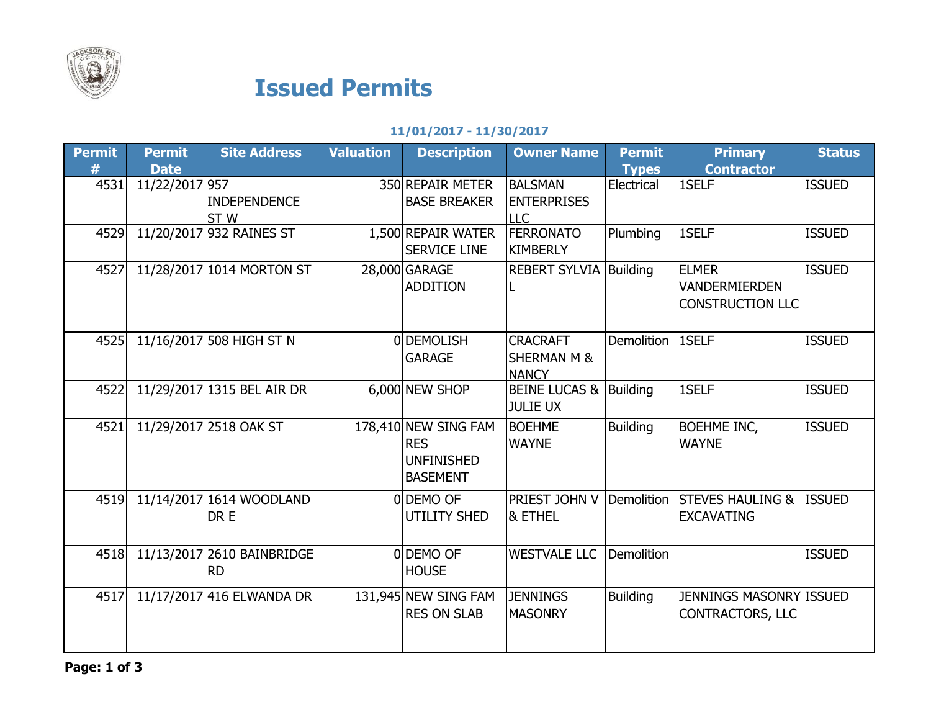

## Issued Permits

## 11/01/2017 - 11/30/2017

| <b>Permit</b> | <b>Permit</b>  | <b>Site Address</b>                     | <b>Valuation</b> | <b>Description</b>                                                         | <b>Owner Name</b>                                         | <b>Permit</b>     | <b>Primary</b>                                                  | <b>Status</b> |
|---------------|----------------|-----------------------------------------|------------------|----------------------------------------------------------------------------|-----------------------------------------------------------|-------------------|-----------------------------------------------------------------|---------------|
| #             | <b>Date</b>    |                                         |                  |                                                                            |                                                           | <b>Types</b>      | <b>Contractor</b>                                               |               |
| 4531          | 11/22/2017 957 | <b>INDEPENDENCE</b>                     |                  | 350 REPAIR METER<br><b>BASE BREAKER</b>                                    | <b>BALSMAN</b><br><b>ENTERPRISES</b>                      | Electrical        | 1SELF                                                           | <b>ISSUED</b> |
|               |                | ST <sub>W</sub>                         |                  |                                                                            | <b>LLC</b>                                                |                   |                                                                 |               |
| 4529          |                | 11/20/2017 932 RAINES ST                |                  | 1,500 REPAIR WATER<br><b>SERVICE LINE</b>                                  | <b>FERRONATO</b><br><b>KIMBERLY</b>                       | Plumbing          | 1SELF                                                           | <b>ISSUED</b> |
| 4527          |                | 11/28/2017 1014 MORTON ST               |                  | 28,000 GARAGE<br><b>ADDITION</b>                                           | <b>REBERT SYLVIA Building</b>                             |                   | <b>ELMER</b><br><b>VANDERMIERDEN</b><br><b>CONSTRUCTION LLC</b> | <b>ISSUED</b> |
| 4525          |                | 11/16/2017 508 HIGH ST N                |                  | 0 DEMOLISH<br><b>GARAGE</b>                                                | <b>CRACRAFT</b><br><b>SHERMAN M &amp;</b><br><b>NANCY</b> | <b>Demolition</b> | 1SELF                                                           | <b>ISSUED</b> |
| 4522          |                | 11/29/2017 1315 BEL AIR DR              |                  | 6,000 NEW SHOP                                                             | BEINE LUCAS & Building<br><b>JULIE UX</b>                 |                   | 1SELF                                                           | <b>ISSUED</b> |
| 4521          |                | 11/29/2017 2518 OAK ST                  |                  | 178,410 NEW SING FAM<br><b>RES</b><br><b>UNFINISHED</b><br><b>BASEMENT</b> | <b>BOEHME</b><br><b>WAYNE</b>                             | <b>Building</b>   | <b>BOEHME INC,</b><br><b>WAYNE</b>                              | <b>ISSUED</b> |
| 4519          |                | 11/14/2017 1614 WOODLAND<br>DR E        |                  | 0DEMO OF<br><b>UTILITY SHED</b>                                            | PRIEST JOHN V<br>& ETHEL                                  | Demolition        | <b>STEVES HAULING &amp;</b><br><b>EXCAVATING</b>                | <b>ISSUED</b> |
| 4518          |                | 11/13/2017 2610 BAINBRIDGE<br><b>RD</b> |                  | 0DEMO OF<br><b>HOUSE</b>                                                   | <b>WESTVALE LLC</b>                                       | Demolition        |                                                                 | <b>ISSUED</b> |
| 4517          |                | 11/17/2017 416 ELWANDA DR               |                  | 131,945 NEW SING FAM<br><b>RES ON SLAB</b>                                 | <b>JENNINGS</b><br><b>MASONRY</b>                         | <b>Building</b>   | <b>JENNINGS MASONRY ISSUED</b><br><b>CONTRACTORS, LLC</b>       |               |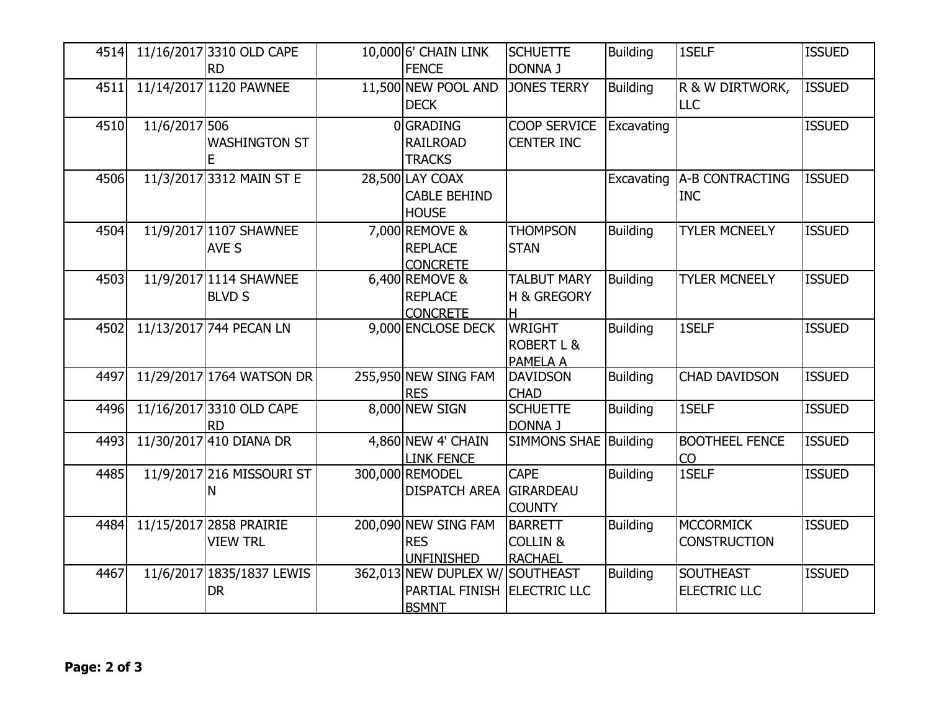| 4514 |               | 11/16/2017 3310 OLD CAPE<br><b>RD</b>      | 10,000 6' CHAIN LINK<br><b>FENCE</b>                                           | <b>SCHUETTE</b><br><b>DONNA J</b>                       | <b>Building</b> | 1SELF                                   | <b>ISSUED</b> |
|------|---------------|--------------------------------------------|--------------------------------------------------------------------------------|---------------------------------------------------------|-----------------|-----------------------------------------|---------------|
| 4511 |               | 11/14/2017 1120 PAWNEE                     | 11,500 NEW POOL AND<br><b>DECK</b>                                             | <b>JONES TERRY</b>                                      | <b>Building</b> | R & W DIRTWORK,<br>LLC                  | <b>ISSUED</b> |
| 4510 | 11/6/2017 506 | <b>WASHINGTON ST</b>                       | 0GRADING<br><b>RAILROAD</b><br><b>TRACKS</b>                                   | <b>COOP SERVICE</b><br><b>CENTER INC</b>                | Excavating      |                                         | <b>ISSUED</b> |
| 4506 |               | 11/3/2017 3312 MAIN ST E                   | 28,500 LAY COAX<br><b>CABLE BEHIND</b><br><b>HOUSE</b>                         |                                                         | Excavating      | A-B CONTRACTING<br><b>INC</b>           | <b>ISSUED</b> |
| 4504 |               | 11/9/2017 1107 SHAWNEE<br>AVE S            | 7,000 REMOVE &<br><b>REPLACE</b><br><b>CONCRETE</b>                            | <b>THOMPSON</b><br><b>STAN</b>                          | <b>Building</b> | <b>TYLER MCNEELY</b>                    | <b>ISSUED</b> |
| 4503 |               | 11/9/2017 1114 SHAWNEE<br><b>BLVD S</b>    | 6,400 REMOVE &<br><b>REPLACE</b><br><b>CONCRETE</b>                            | <b>TALBUT MARY</b><br><b>H &amp; GREGORY</b><br>lн      | <b>Building</b> | <b>TYLER MCNEELY</b>                    | <b>ISSUED</b> |
| 4502 |               | 11/13/2017 744 PECAN LN                    | 9,000 ENCLOSE DECK                                                             | <b>WRIGHT</b><br><b>ROBERT L &amp;</b><br>PAMELA A      | <b>Building</b> | 1SELF                                   | <b>ISSUED</b> |
| 4497 |               | 11/29/2017 1764 WATSON DR                  | 255,950 NEW SING FAM<br><b>RES</b>                                             | <b>DAVIDSON</b><br><b>CHAD</b>                          | <b>Building</b> | <b>CHAD DAVIDSON</b>                    | <b>ISSUED</b> |
| 4496 |               | 11/16/2017 3310 OLD CAPE<br><b>RD</b>      | 8,000 NEW SIGN                                                                 | <b>SCHUETTE</b><br><b>DONNA J</b>                       | <b>Building</b> | 1SELF                                   | <b>ISSUED</b> |
| 4493 |               | 11/30/2017 410 DIANA DR                    | 4,860 NEW 4' CHAIN<br><b>LINK FENCE</b>                                        | <b>SIMMONS SHAE Building</b>                            |                 | <b>BOOTHEEL FENCE</b><br><b>CO</b>      | <b>ISSUED</b> |
| 4485 |               | 11/9/2017 216 MISSOURI ST<br>N             | 300,000 REMODEL<br>DISPATCH AREA GIRARDEAU                                     | <b>CAPE</b><br><b>COUNTY</b>                            | <b>Building</b> | 1SELF                                   | <b>ISSUED</b> |
| 4484 |               | 11/15/2017 2858 PRAIRIE<br><b>VIEW TRL</b> | 200,090 NEW SING FAM<br><b>RES</b><br><b>UNFINISHED</b>                        | <b>BARRETT</b><br><b>COLLIN &amp;</b><br><b>RACHAEL</b> | <b>Building</b> | MCCORMICK<br><b>CONSTRUCTION</b>        | <b>ISSUED</b> |
| 4467 |               | 11/6/2017 1835/1837 LEWIS<br><b>DR</b>     | 362,013 NEW DUPLEX W/ SOUTHEAST<br>PARTIAL FINISH ELECTRIC LLC<br><b>BSMNT</b> |                                                         | <b>Building</b> | <b>SOUTHEAST</b><br><b>ELECTRIC LLC</b> | <b>ISSUED</b> |